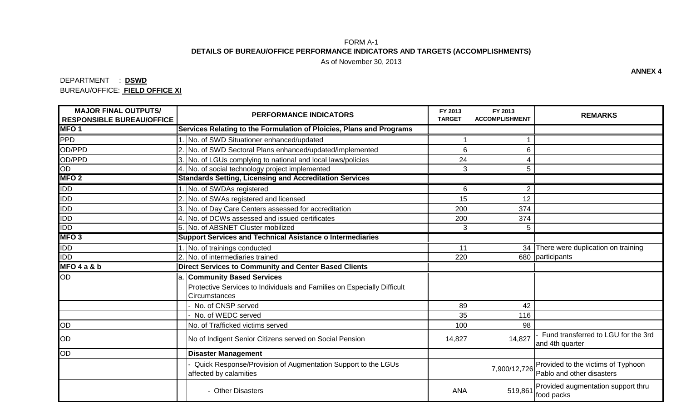## FORM A-1 **DETAILS OF BUREAU/OFFICE PERFORMANCE INDICATORS AND TARGETS (ACCOMPLISHMENTS)**

As of November 30, 2013

## DEPARTMENT : **DSWD** BUREAU/OFFICE: **FIELD OFFICE XI**

| <b>MAJOR FINAL OUTPUTS/</b><br><b>RESPONSIBLE BUREAU/OFFICE</b> | <b>PERFORMANCE INDICATORS</b>                                                            | FY 2013<br><b>TARGET</b> | FY 2013<br><b>ACCOMPLISHMENT</b> | <b>REMARKS</b>                                                  |
|-----------------------------------------------------------------|------------------------------------------------------------------------------------------|--------------------------|----------------------------------|-----------------------------------------------------------------|
| <b>MFO1</b>                                                     | Services Relating to the Formulation of Ploicies, Plans and Programs                     |                          |                                  |                                                                 |
| <b>PPD</b>                                                      | No. of SWD Situationer enhanced/updated                                                  |                          |                                  |                                                                 |
| OD/PPD                                                          | No. of SWD Sectoral Plans enhanced/updated/implemented                                   | 6                        | 6                                |                                                                 |
| OD/PPD                                                          | 3. No. of LGUs complying to national and local laws/policies                             | 24                       | 4                                |                                                                 |
| OD                                                              | 4. No. of social technology project implemented                                          | 3                        | 5                                |                                                                 |
| <b>MFO2</b>                                                     | <b>Standards Setting, Licensing and Accreditation Services</b>                           |                          |                                  |                                                                 |
| <b>IDD</b>                                                      | 1. No. of SWDAs registered                                                               | 6                        | $\overline{2}$                   |                                                                 |
| <b>IDD</b>                                                      | 2. No. of SWAs registered and licensed                                                   | 15                       | 12                               |                                                                 |
| <b>IDD</b>                                                      | 3. No. of Day Care Centers assessed for accreditation                                    | 200                      | 374                              |                                                                 |
| <b>IDD</b>                                                      | 4. No. of DCWs assessed and issued certificates                                          | 200                      | 374                              |                                                                 |
| <b>IDD</b>                                                      | 5. No. of ABSNET Cluster mobilized                                                       | 3                        | 5                                |                                                                 |
| MFO <sub>3</sub>                                                | <b>Support Services and Technical Asistance o Intermediaries</b>                         |                          |                                  |                                                                 |
| <b>IDD</b>                                                      | . No. of trainings conducted                                                             | 11                       |                                  | 34 There were duplication on training                           |
| <b>IDD</b>                                                      | 2. No. of intermediaries trained                                                         | 220                      |                                  | 680 participants                                                |
| MFO4a&b                                                         | <b>Direct Services to Community and Center Based Clients</b>                             |                          |                                  |                                                                 |
| OD                                                              | a. Community Based Services                                                              |                          |                                  |                                                                 |
|                                                                 | Protective Services to Individuals and Families on Especially Difficult<br>Circumstances |                          |                                  |                                                                 |
|                                                                 | No. of CNSP served                                                                       | 89                       | 42                               |                                                                 |
|                                                                 | No. of WEDC served                                                                       | 35                       | 116                              |                                                                 |
| OD                                                              | No. of Trafficked victims served                                                         | 100                      | 98                               |                                                                 |
| OD                                                              | No of Indigent Senior Citizens served on Social Pension                                  | 14,827                   | 14,827                           | Fund transferred to LGU for the 3rd<br>and 4th quarter          |
| OD                                                              | <b>Disaster Management</b>                                                               |                          |                                  |                                                                 |
|                                                                 | Quick Response/Provision of Augmentation Support to the LGUs<br>affected by calamities   |                          | 7,900/12,726                     | Provided to the victims of Typhoon<br>Pablo and other disasters |
|                                                                 | - Other Disasters                                                                        | <b>ANA</b>               | 519,86                           | Provided augmentation support thru<br>food packs                |

**ANNEX 4**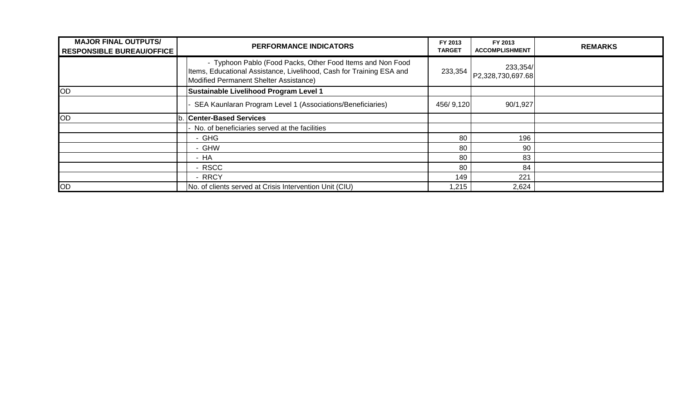| <b>MAJOR FINAL OUTPUTS/</b><br><b>RESPONSIBLE BUREAU/OFFICE</b> | <b>PERFORMANCE INDICATORS</b>                                                                                                                                                | FY 2013<br><b>TARGET</b> | FY 2013<br><b>ACCOMPLISHMENT</b> | <b>REMARKS</b> |
|-----------------------------------------------------------------|------------------------------------------------------------------------------------------------------------------------------------------------------------------------------|--------------------------|----------------------------------|----------------|
|                                                                 | - Typhoon Pablo (Food Packs, Other Food Items and Non Food<br>Items, Educational Assistance, Livelihood, Cash for Training ESA and<br>Modified Permanent Shelter Assistance) | 233,354                  | 233,354/<br>P2,328,730,697.68    |                |
| <b>OD</b>                                                       | <b>Sustainable Livelihood Program Level 1</b>                                                                                                                                |                          |                                  |                |
|                                                                 | SEA Kaunlaran Program Level 1 (Associations/Beneficiaries)                                                                                                                   | 456/9,120                | 90/1,927                         |                |
| OD                                                              | <b>Center-Based Services</b>                                                                                                                                                 |                          |                                  |                |
|                                                                 | No. of beneficiaries served at the facilities                                                                                                                                |                          |                                  |                |
|                                                                 | - GHG                                                                                                                                                                        | 80                       | 196                              |                |
|                                                                 | - GHW                                                                                                                                                                        | 80                       | 90                               |                |
|                                                                 | - HA                                                                                                                                                                         | 80                       | 83                               |                |
|                                                                 | - RSCC                                                                                                                                                                       | 80                       | 84                               |                |
|                                                                 | - RRCY                                                                                                                                                                       | 149                      | 221                              |                |
| <b>OD</b>                                                       | No. of clients served at Crisis Intervention Unit (CIU)                                                                                                                      | 1,215                    | 2,624                            |                |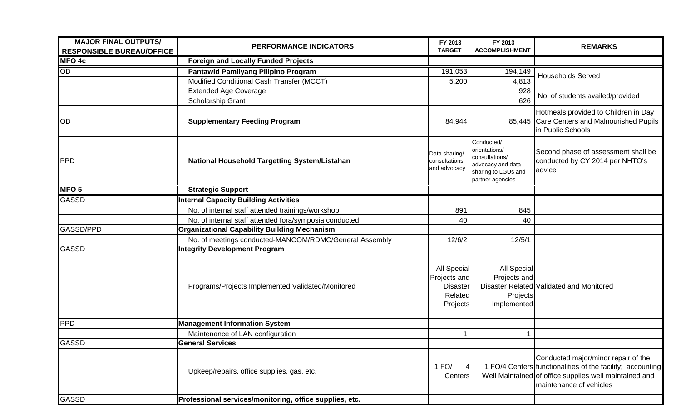| <b>MAJOR FINAL OUTPUTS/</b><br><b>RESPONSIBLE BUREAU/OFFICE</b> |                         | PERFORMANCE INDICATORS                                  | FY 2013<br><b>TARGET</b>                                              | FY 2013<br><b>ACCOMPLISHMENT</b>                                                                              | <b>REMARKS</b>                                                                                                                                                                         |
|-----------------------------------------------------------------|-------------------------|---------------------------------------------------------|-----------------------------------------------------------------------|---------------------------------------------------------------------------------------------------------------|----------------------------------------------------------------------------------------------------------------------------------------------------------------------------------------|
| <b>MFO 4c</b>                                                   |                         | <b>Foreign and Locally Funded Projects</b>              |                                                                       |                                                                                                               |                                                                                                                                                                                        |
| OD                                                              |                         | Pantawid Pamilyang Pilipino Program                     | 191,053                                                               | 194, 149                                                                                                      | <b>Households Served</b>                                                                                                                                                               |
|                                                                 |                         | Modified Conditional Cash Transfer (MCCT)               | 5,200                                                                 | 4,813                                                                                                         |                                                                                                                                                                                        |
|                                                                 |                         | <b>Extended Age Coverage</b>                            |                                                                       | 928                                                                                                           | No. of students availed/provided                                                                                                                                                       |
|                                                                 |                         | Scholarship Grant                                       |                                                                       | 626                                                                                                           |                                                                                                                                                                                        |
| OD                                                              |                         | <b>Supplementary Feeding Program</b>                    | 84,944                                                                |                                                                                                               | Hotmeals provided to Children in Day<br>85,445 Care Centers and Malnourished Pupils<br>in Public Schools                                                                               |
| <b>PPD</b>                                                      |                         | National Household Targetting System/Listahan           | Data sharing/<br>consultations<br>and advocacy                        | Conducted/<br>orientations/<br>consultations/<br>advocacy and data<br>sharing to LGUs and<br>partner agencies | Second phase of assessment shall be<br>conducted by CY 2014 per NHTO's<br>advice                                                                                                       |
| MFO <sub>5</sub>                                                |                         | <b>Strategic Support</b>                                |                                                                       |                                                                                                               |                                                                                                                                                                                        |
| <b>GASSD</b>                                                    |                         | <b>Internal Capacity Building Activities</b>            |                                                                       |                                                                                                               |                                                                                                                                                                                        |
|                                                                 |                         | No. of internal staff attended trainings/workshop       | 891                                                                   | 845                                                                                                           |                                                                                                                                                                                        |
|                                                                 |                         | No. of internal staff attended fora/symposia conducted  | 40                                                                    | 40                                                                                                            |                                                                                                                                                                                        |
| <b>GASSD/PPD</b>                                                |                         | <b>Organizational Capability Building Mechanism</b>     |                                                                       |                                                                                                               |                                                                                                                                                                                        |
|                                                                 |                         | No. of meetings conducted-MANCOM/RDMC/General Assembly  | 12/6/2                                                                | 12/5/1                                                                                                        |                                                                                                                                                                                        |
| <b>GASSD</b>                                                    |                         | <b>Integrity Development Program</b>                    |                                                                       |                                                                                                               |                                                                                                                                                                                        |
|                                                                 |                         | Programs/Projects Implemented Validated/Monitored       | All Special<br>Projects and<br><b>Disaster</b><br>Related<br>Projects | All Special<br>Projects and<br><b>Projects</b><br>Implemented                                                 | Disaster Related Validated and Monitored                                                                                                                                               |
| PPD                                                             |                         | <b>Management Information System</b>                    |                                                                       |                                                                                                               |                                                                                                                                                                                        |
|                                                                 |                         | Maintenance of LAN configuration                        |                                                                       |                                                                                                               |                                                                                                                                                                                        |
| <b>GASSD</b>                                                    | <b>General Services</b> |                                                         |                                                                       |                                                                                                               |                                                                                                                                                                                        |
|                                                                 |                         | Upkeep/repairs, office supplies, gas, etc.              | 1 FQ/<br>4<br>Centers                                                 |                                                                                                               | Conducted major/minor repair of the<br>1 FO/4 Centers functionalities of the facility; accounting<br>Well Maintained of office supplies well maintained and<br>maintenance of vehicles |
| <b>GASSD</b>                                                    |                         | Professional services/monitoring, office supplies, etc. |                                                                       |                                                                                                               |                                                                                                                                                                                        |